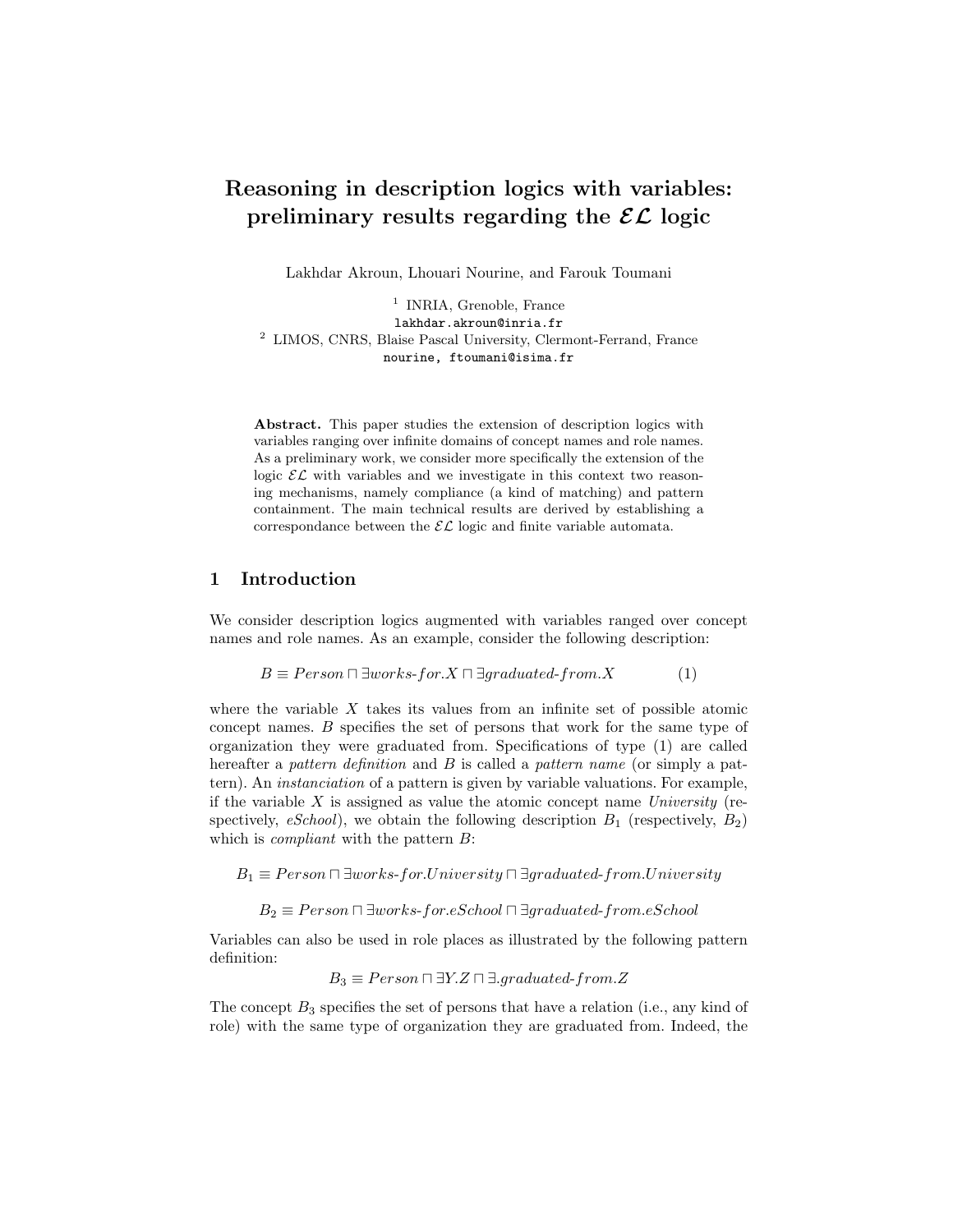# Reasoning in description logics with variables: preliminary results regarding the  $\mathcal{EL}$  logic

Lakhdar Akroun, Lhouari Nourine, and Farouk Toumani

<sup>1</sup> INRIA, Grenoble, France lakhdar.akroun@inria.fr <sup>2</sup> LIMOS, CNRS, Blaise Pascal University, Clermont-Ferrand, France nourine, ftoumani@isima.fr

Abstract. This paper studies the extension of description logics with variables ranging over infinite domains of concept names and role names. As a preliminary work, we consider more specifically the extension of the logic  $\mathcal{EL}$  with variables and we investigate in this context two reasoning mechanisms, namely compliance (a kind of matching) and pattern containment. The main technical results are derived by establishing a correspondance between the  $\mathcal{EL}$  logic and finite variable automata.

#### 1 Introduction

We consider description logics augmented with variables ranged over concept names and role names. As an example, consider the following description:

$$
B \equiv Person \sqcap \exists works\text{-}for.X \sqcap \exists graduated\text{-}from.X
$$
 (1)

where the variable  $X$  takes its values from an infinite set of possible atomic concept names. B specifies the set of persons that work for the same type of organization they were graduated from. Specifications of type (1) are called hereafter a pattern definition and B is called a pattern name (or simply a pattern). An instanciation of a pattern is given by variable valuations. For example, if the variable  $X$  is assigned as value the atomic concept name University (respectively, eSchool), we obtain the following description  $B_1$  (respectively,  $B_2$ ) which is *compliant* with the pattern  $B$ :

 $B_1 \equiv Person \sqcap \exists works\text{-}for. University \sqcap \exists graduate\text{-}from. University$ 

 $B_2 \equiv Person \sqcap \exists works\text{-}for.eSchool \sqcap \exists graduate\text{-}from.eSchool$ 

Variables can also be used in role places as illustrated by the following pattern definition:

 $B_3 \equiv Person \sqcap \exists Y.Z \sqcap \exists. graduated-from.Z$ 

The concept  $B_3$  specifies the set of persons that have a relation (i.e., any kind of role) with the same type of organization they are graduated from. Indeed, the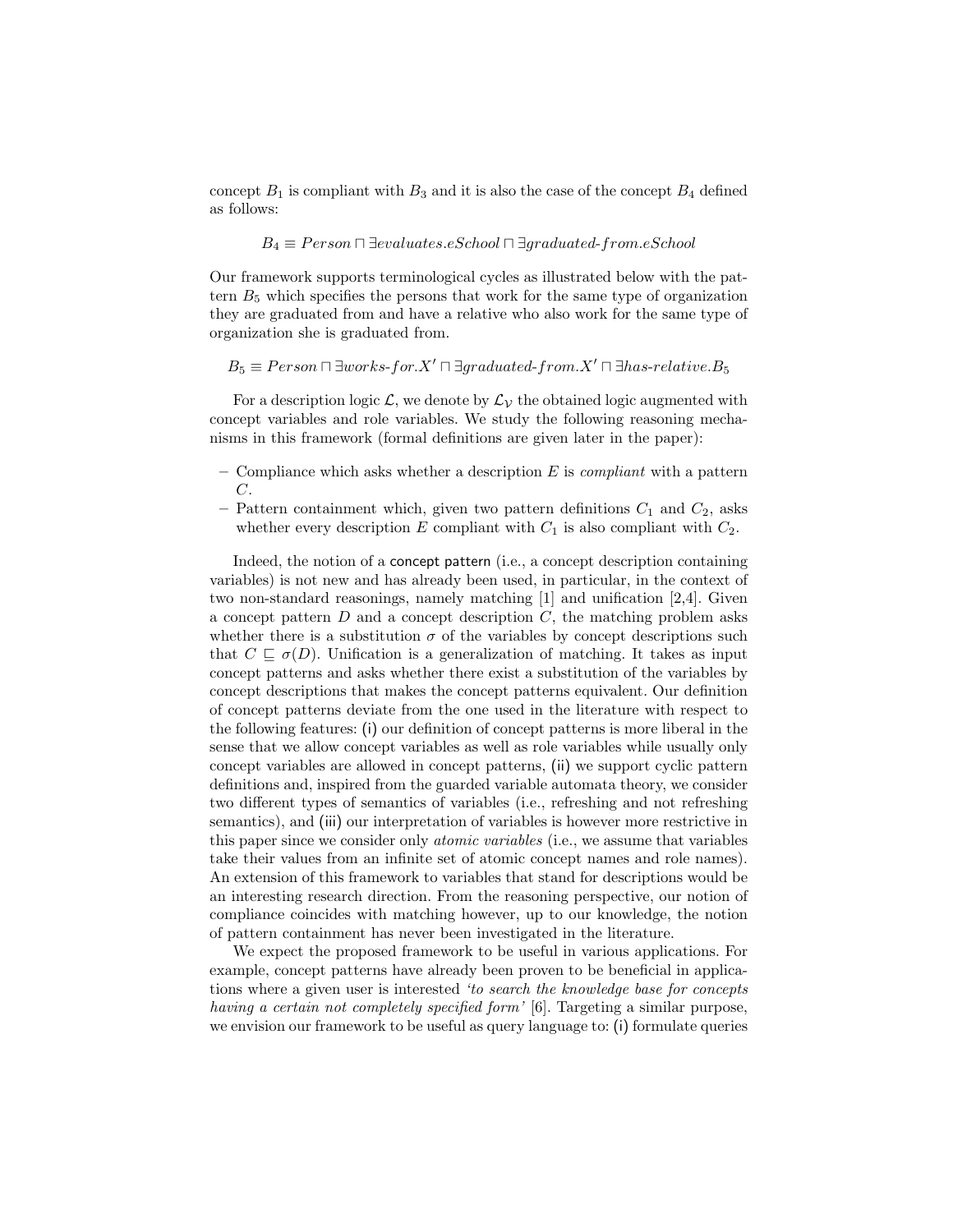concept  $B_1$  is compliant with  $B_3$  and it is also the case of the concept  $B_4$  defined as follows:

$$
B_4 \equiv Person \sqcap \exists evaluates.e School \sqcap \exists graduated\text{-}from.e School
$$

Our framework supports terminological cycles as illustrated below with the pattern  $B_5$  which specifies the persons that work for the same type of organization they are graduated from and have a relative who also work for the same type of organization she is graduated from.

 $B_5 \equiv Person \sqcap \exists works\text{-}for.X' \sqcap \exists graduate\text{-}from.X' \sqcap \exists has\text{-}relative.B_5$ 

For a description logic  $\mathcal{L}$ , we denote by  $\mathcal{L}_{\mathcal{V}}$  the obtained logic augmented with concept variables and role variables. We study the following reasoning mechanisms in this framework (formal definitions are given later in the paper):

- Compliance which asks whether a description E is *compliant* with a pattern C.
- Pattern containment which, given two pattern definitions  $C_1$  and  $C_2$ , asks whether every description E compliant with  $C_1$  is also compliant with  $C_2$ .

Indeed, the notion of a concept pattern (i.e., a concept description containing variables) is not new and has already been used, in particular, in the context of two non-standard reasonings, namely matching [1] and unification [2,4]. Given a concept pattern  $D$  and a concept description  $C$ , the matching problem asks whether there is a substitution  $\sigma$  of the variables by concept descriptions such that  $C \subseteq \sigma(D)$ . Unification is a generalization of matching. It takes as input concept patterns and asks whether there exist a substitution of the variables by concept descriptions that makes the concept patterns equivalent. Our definition of concept patterns deviate from the one used in the literature with respect to the following features: (i) our definition of concept patterns is more liberal in the sense that we allow concept variables as well as role variables while usually only concept variables are allowed in concept patterns, (ii) we support cyclic pattern definitions and, inspired from the guarded variable automata theory, we consider two different types of semantics of variables (i.e., refreshing and not refreshing semantics), and (iii) our interpretation of variables is however more restrictive in this paper since we consider only atomic variables (i.e., we assume that variables take their values from an infinite set of atomic concept names and role names). An extension of this framework to variables that stand for descriptions would be an interesting research direction. From the reasoning perspective, our notion of compliance coincides with matching however, up to our knowledge, the notion of pattern containment has never been investigated in the literature.

We expect the proposed framework to be useful in various applications. For example, concept patterns have already been proven to be beneficial in applications where a given user is interested 'to search the knowledge base for concepts having a certain not completely specified form' [6]. Targeting a similar purpose, we envision our framework to be useful as query language to: (i) formulate queries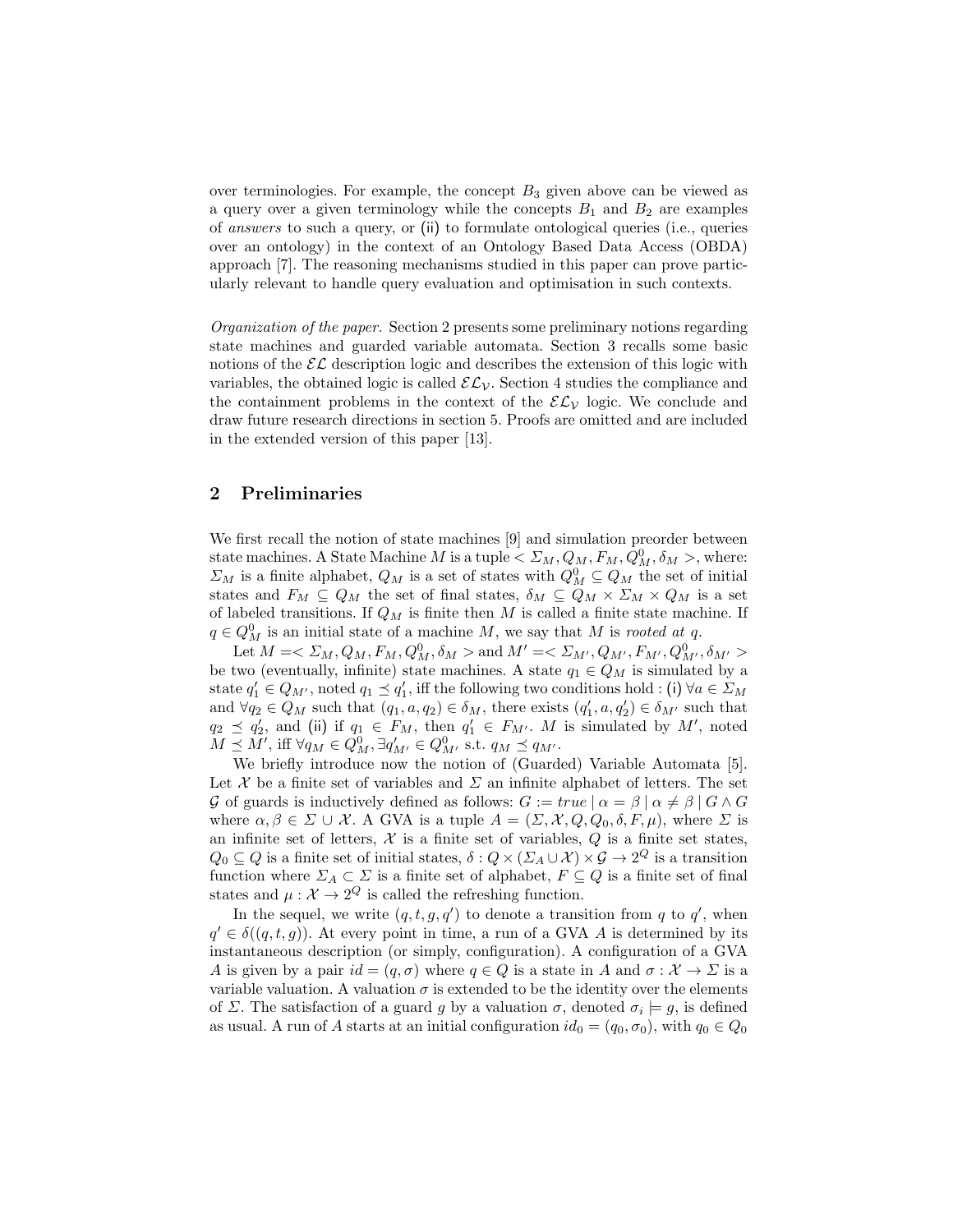over terminologies. For example, the concept  $B_3$  given above can be viewed as a query over a given terminology while the concepts  $B_1$  and  $B_2$  are examples of answers to such a query, or (ii) to formulate ontological queries (i.e., queries over an ontology) in the context of an Ontology Based Data Access (OBDA) approach [7]. The reasoning mechanisms studied in this paper can prove particularly relevant to handle query evaluation and optimisation in such contexts.

Organization of the paper. Section 2 presents some preliminary notions regarding state machines and guarded variable automata. Section 3 recalls some basic notions of the  $\mathcal{EL}$  description logic and describes the extension of this logic with variables, the obtained logic is called  $\mathcal{EL}_{\mathcal{V}}$ . Section 4 studies the compliance and the containment problems in the context of the  $\mathcal{EL}_\mathcal{V}$  logic. We conclude and draw future research directions in section 5. Proofs are omitted and are included in the extended version of this paper [13].

#### 2 Preliminaries

We first recall the notion of state machines [9] and simulation preorder between state machines. A State Machine  $M$  is a tuple  $\langle \Sigma_M, Q_M, F_M, Q_M^0, \delta_M \rangle$ , where:  $\Sigma_M$  is a finite alphabet,  $Q_M$  is a set of states with  $Q_M^0 \subseteq Q_M$  the set of initial states and  $F_M \subseteq Q_M$  the set of final states,  $\delta_M \subseteq Q_M \times \Sigma_M \times Q_M$  is a set of labeled transitions. If  $Q_M$  is finite then  $M$  is called a finite state machine. If  $q \in Q_M^0$  is an initial state of a machine M, we say that M is rooted at q.

Let  $M = \langle \Sigma_M, Q_M, F_M, Q_M^0, \delta_M \rangle$  and  $M' = \langle \Sigma_{M'}, Q_{M'}, F_{M'}, Q_{M'}^0, \delta_{M'} \rangle$ be two (eventually, infinite) state machines. A state  $q_1 \in Q_M$  is simulated by a state  $q'_1 \in Q_{M'}$ , noted  $q_1 \preceq q'_1$ , iff the following two conditions hold : (i)  $\forall a \in \Sigma_M$ and  $\forall q_2 \in Q_M$  such that  $(q_1, a, q_2) \in \delta_M$ , there exists  $(q'_1, a, q'_2) \in \delta_{M'}$  such that  $q_2 \preceq q_2'$ , and (ii) if  $q_1 \in F_M$ , then  $q_1' \in F_{M'}$ . M is simulated by M', noted  $M \preceq M'$ , iff  $\forall q_M \in Q_M^0, \exists q'_{M'} \in Q_{M'}^0$  s.t.  $q_M \preceq q_{M'}$ .

We briefly introduce now the notion of (Guarded) Variable Automata [5]. Let  $\mathcal X$  be a finite set of variables and  $\Sigma$  an infinite alphabet of letters. The set G of guards is inductively defined as follows:  $G := true \mid \alpha = \beta \mid \alpha \neq \beta \mid G \wedge G$ where  $\alpha, \beta \in \Sigma \cup \mathcal{X}$ . A GVA is a tuple  $A = (\Sigma, \mathcal{X}, Q, Q_0, \delta, F, \mu)$ , where  $\Sigma$  is an infinite set of letters,  $\mathcal X$  is a finite set of variables,  $Q$  is a finite set states,  $Q_0 \subseteq Q$  is a finite set of initial states,  $\delta: Q \times (\Sigma_A \cup \mathcal{X}) \times \mathcal{G} \to 2^Q$  is a transition function where  $\Sigma_A \subset \Sigma$  is a finite set of alphabet,  $F \subseteq Q$  is a finite set of final states and  $\mu : \mathcal{X} \to 2^Q$  is called the refreshing function.

In the sequel, we write  $(q, t, g, q')$  to denote a transition from q to  $q'$ , when  $q' \in \delta((q, t, g))$ . At every point in time, a run of a GVA A is determined by its instantaneous description (or simply, configuration). A configuration of a GVA A is given by a pair  $id = (q, \sigma)$  where  $q \in Q$  is a state in A and  $\sigma : \mathcal{X} \to \Sigma$  is a variable valuation. A valuation  $\sigma$  is extended to be the identity over the elements of  $\Sigma$ . The satisfaction of a guard g by a valuation  $\sigma$ , denoted  $\sigma_i \models g$ , is defined as usual. A run of A starts at an initial configuration  $id_0 = (q_0, \sigma_0)$ , with  $q_0 \in Q_0$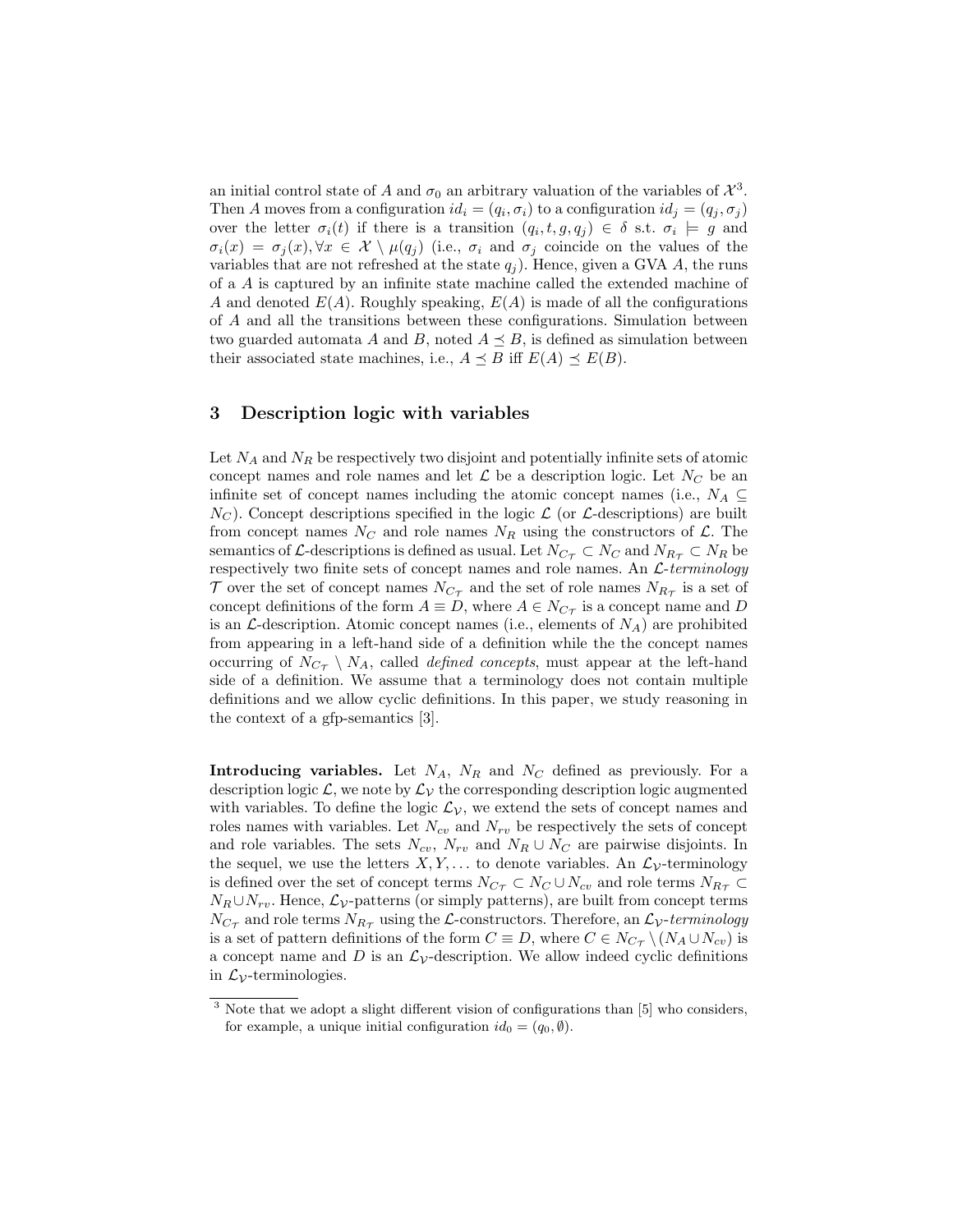an initial control state of A and  $\sigma_0$  an arbitrary valuation of the variables of  $\mathcal{X}^3$ . Then A moves from a configuration  $id_i = (q_i, \sigma_i)$  to a configuration  $id_j = (q_j, \sigma_j)$ over the letter  $\sigma_i(t)$  if there is a transition  $(q_i, t, g, q_j) \in \delta$  s.t.  $\sigma_i \models g$  and  $\sigma_i(x) = \sigma_j(x), \forall x \in \mathcal{X} \setminus \mu(q_j)$  (i.e.,  $\sigma_i$  and  $\sigma_j$  coincide on the values of the variables that are not refreshed at the state  $q_i$ ). Hence, given a GVA A, the runs of a A is captured by an infinite state machine called the extended machine of A and denoted  $E(A)$ . Roughly speaking,  $E(A)$  is made of all the configurations of A and all the transitions between these configurations. Simulation between two guarded automata A and B, noted  $A \preceq B$ , is defined as simulation between their associated state machines, i.e.,  $A \preceq B$  iff  $E(A) \preceq E(B)$ .

#### 3 Description logic with variables

Let  $N_A$  and  $N_B$  be respectively two disjoint and potentially infinite sets of atomic concept names and role names and let  $\mathcal L$  be a description logic. Let  $N_C$  be an infinite set of concept names including the atomic concept names (i.e.,  $N_A \subseteq$  $N_C$ ). Concept descriptions specified in the logic  $\mathcal L$  (or  $\mathcal L$ -descriptions) are built from concept names  $N_C$  and role names  $N_R$  using the constructors of  $\mathcal{L}$ . The semantics of L-descriptions is defined as usual. Let  $N_{C_{\tau}} \subset N_C$  and  $N_{R_{\tau}} \subset N_R$  be respectively two finite sets of concept names and role names. An  $\mathcal{L}$ -terminology  $\mathcal T$  over the set of concept names  $N_{C_{\mathcal T}}$  and the set of role names  $N_{R_{\mathcal T}}$  is a set of concept definitions of the form  $A \equiv D$ , where  $A \in N_{C_{\mathcal{T}}}$  is a concept name and D is an  $\mathcal{L}\text{-}\text{description.}$  Atomic concept names (i.e., elements of  $N_A$ ) are prohibited from appearing in a left-hand side of a definition while the the concept names occurring of  $N_{C_{\mathcal{T}}} \setminus N_A$ , called *defined concepts*, must appear at the left-hand side of a definition. We assume that a terminology does not contain multiple definitions and we allow cyclic definitions. In this paper, we study reasoning in the context of a gfp-semantics [3].

**Introducing variables.** Let  $N_A$ ,  $N_R$  and  $N_C$  defined as previously. For a description logic  $\mathcal{L}$ , we note by  $\mathcal{L}_{\mathcal{V}}$  the corresponding description logic augmented with variables. To define the logic  $\mathcal{L}_{\mathcal{V}}$ , we extend the sets of concept names and roles names with variables. Let  $N_{cv}$  and  $N_{rv}$  be respectively the sets of concept and role variables. The sets  $N_{cv}$ ,  $N_{rv}$  and  $N_R \cup N_C$  are pairwise disjoints. In the sequel, we use the letters  $X, Y, \ldots$  to denote variables. An  $\mathcal{L}_{\mathcal{V}}$ -terminology is defined over the set of concept terms  $N_{C_{\tau}} \subset N_C \cup N_{cv}$  and role terms  $N_{R_{\tau}} \subset$  $N_R \cup N_{rv}$ . Hence,  $\mathcal{L}_{\mathcal{V}}$ -patterns (or simply patterns), are built from concept terms  $N_{C_{\mathcal{T}}}$  and role terms  $N_{R_{\mathcal{T}}}$  using the L-constructors. Therefore, an  $\mathcal{L}_{\mathcal{V}}$ -terminology is a set of pattern definitions of the form  $C \equiv D$ , where  $C \in N_{C_{\mathcal{T}}} \setminus (N_A \cup N_{cv})$  is a concept name and D is an  $\mathcal{L}_{\mathcal{V}}$ -description. We allow indeed cyclic definitions in  $\mathcal{L}_{\mathcal{V}}$ -terminologies.

<sup>&</sup>lt;sup>3</sup> Note that we adopt a slight different vision of configurations than [5] who considers, for example, a unique initial configuration  $id_0 = (q_0, \emptyset)$ .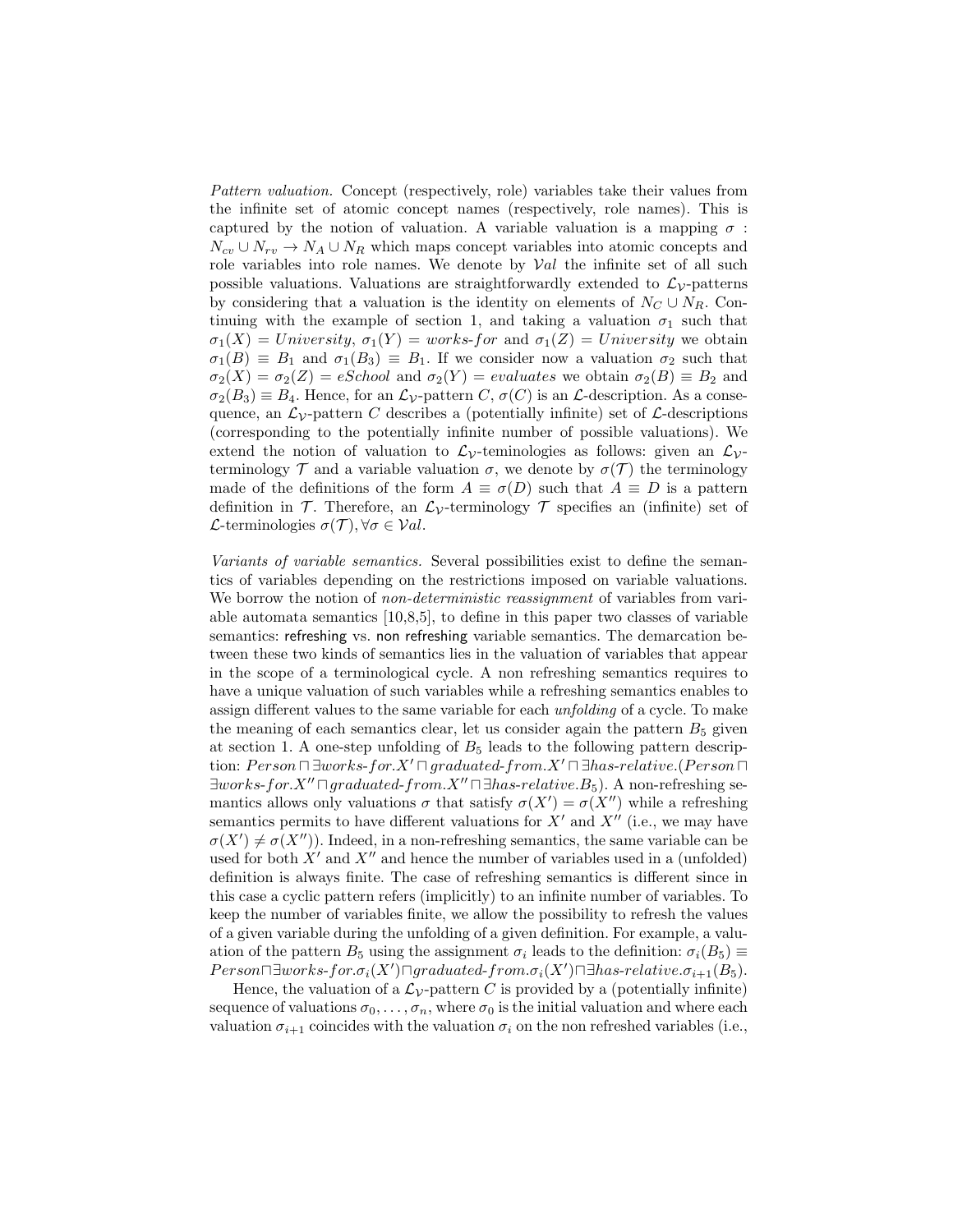Pattern valuation. Concept (respectively, role) variables take their values from the infinite set of atomic concept names (respectively, role names). This is captured by the notion of valuation. A variable valuation is a mapping  $\sigma$ :  $N_{cv} \cup N_{rv} \rightarrow N_A \cup N_R$  which maps concept variables into atomic concepts and role variables into role names. We denote by  $Val$  the infinite set of all such possible valuations. Valuations are straightforwardly extended to  $\mathcal{L}_{\mathcal{V}}$ -patterns by considering that a valuation is the identity on elements of  $N_C \cup N_R$ . Continuing with the example of section 1, and taking a valuation  $\sigma_1$  such that  $\sigma_1(X) = University$ ,  $\sigma_1(Y) = works$  for and  $\sigma_1(Z) = University$  we obtain  $\sigma_1(B) \equiv B_1$  and  $\sigma_1(B_3) \equiv B_1$ . If we consider now a valuation  $\sigma_2$  such that  $\sigma_2(X) = \sigma_2(Z) = eSchool$  and  $\sigma_2(Y) = evaluates$  we obtain  $\sigma_2(B) \equiv B_2$  and  $\sigma_2(B_3) \equiv B_4$ . Hence, for an  $\mathcal{L}_{\mathcal{V}}$ -pattern C,  $\sigma(C)$  is an  $\mathcal{L}$ -description. As a consequence, an  $\mathcal{L}_{V}$ -pattern C describes a (potentially infinite) set of  $\mathcal{L}$ -descriptions (corresponding to the potentially infinite number of possible valuations). We extend the notion of valuation to  $\mathcal{L}_{\mathcal{V}}$ -teminologies as follows: given an  $\mathcal{L}_{\mathcal{V}}$ terminology  $\mathcal T$  and a variable valuation  $\sigma$ , we denote by  $\sigma(\mathcal T)$  the terminology made of the definitions of the form  $A \equiv \sigma(D)$  such that  $A \equiv D$  is a pattern definition in T. Therefore, an  $\mathcal{L}_{\mathcal{V}}$ -terminology T specifies an (infinite) set of L-terminologies  $\sigma(\mathcal{T}), \forall \sigma \in \mathcal{V}al$ .

Variants of variable semantics. Several possibilities exist to define the semantics of variables depending on the restrictions imposed on variable valuations. We borrow the notion of *non-deterministic reassignment* of variables from variable automata semantics [10,8,5], to define in this paper two classes of variable semantics: refreshing vs. non refreshing variable semantics. The demarcation between these two kinds of semantics lies in the valuation of variables that appear in the scope of a terminological cycle. A non refreshing semantics requires to have a unique valuation of such variables while a refreshing semantics enables to assign different values to the same variable for each unfolding of a cycle. To make the meaning of each semantics clear, let us consider again the pattern  $B_5$  given at section 1. A one-step unfolding of  $B_5$  leads to the following pattern description:  $Person \Box \Box works-for.X' \Box graduated-from.X' \Box \exists has-relative.(Person \Box$  $\exists works-for.X'' \sqcap graduated-from.X'' \sqcap \exists has-relative.B_5$ ). A non-refreshing semantics allows only valuations  $\sigma$  that satisfy  $\sigma(X') = \sigma(X'')$  while a refreshing semantics permits to have different valuations for  $X'$  and  $X''$  (i.e., we may have  $\sigma(X') \neq \sigma(X'')$ ). Indeed, in a non-refreshing semantics, the same variable can be used for both  $X'$  and  $X''$  and hence the number of variables used in a (unfolded) definition is always finite. The case of refreshing semantics is different since in this case a cyclic pattern refers (implicitly) to an infinite number of variables. To keep the number of variables finite, we allow the possibility to refresh the values of a given variable during the unfolding of a given definition. For example, a valuation of the pattern  $B_5$  using the assignment  $\sigma_i$  leads to the definition:  $\sigma_i(B_5) \equiv$  $Person\Box \exists works\text{-}for.\sigma_i(X')\Box \mathit{graduated\text{-}}from.\sigma_i(X')\Box \exists has\text{-}relative.\sigma_{i+1}(B_5).$ 

Hence, the valuation of a  $\mathcal{L}_{\mathcal{V}}$ -pattern C is provided by a (potentially infinite) sequence of valuations  $\sigma_0, \ldots, \sigma_n$ , where  $\sigma_0$  is the initial valuation and where each valuation  $\sigma_{i+1}$  coincides with the valuation  $\sigma_i$  on the non refreshed variables (i.e.,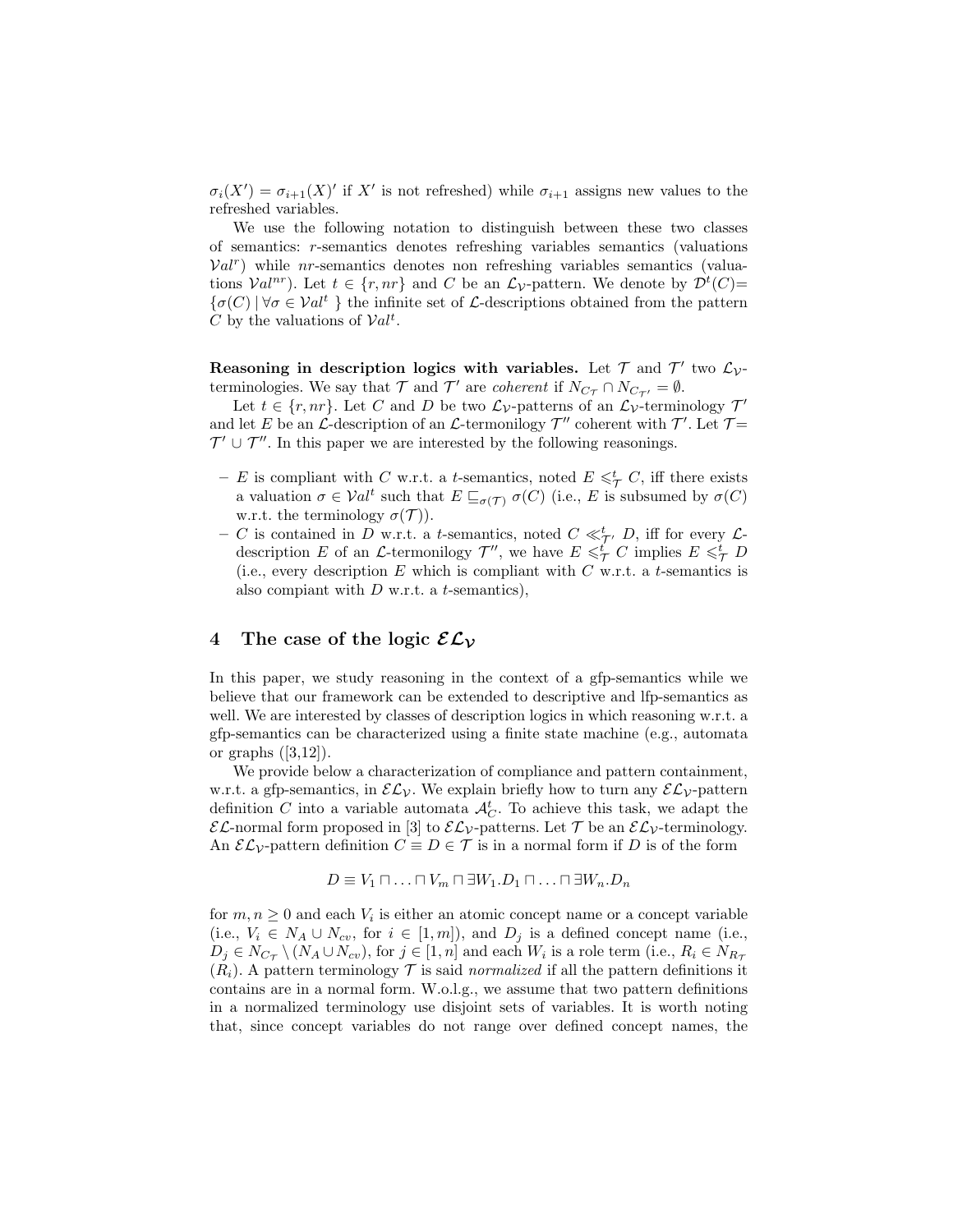$\sigma_i(X') = \sigma_{i+1}(X)'$  if X' is not refreshed) while  $\sigma_{i+1}$  assigns new values to the refreshed variables.

We use the following notation to distinguish between these two classes of semantics: r-semantics denotes refreshing variables semantics (valuations  $Val<sup>r</sup>$ ) while *nr*-semantics denotes non refreshing variables semantics (valuations  $Val^{nr}$ ). Let  $t \in \{r, nr\}$  and C be an  $\mathcal{L}_{\mathcal{V}}$ -pattern. We denote by  $\mathcal{D}^{t}(C)$ =  ${\{\sigma(C) | \forall \sigma \in \mathcal{V}al^t \}}$  the infinite set of *L*-descriptions obtained from the pattern C by the valuations of  $Val<sup>t</sup>$ .

Reasoning in description logics with variables. Let  $\mathcal T$  and  $\mathcal T'$  two  $\mathcal L_{\mathcal V}$ terminologies. We say that  $\mathcal T$  and  $\mathcal T'$  are *coherent* if  $N_{C_{\mathcal T}} \cap N_{C_{\mathcal T'}} = \emptyset$ .

Let  $t \in \{r, nr\}$ . Let C and D be two  $\mathcal{L}_{\mathcal{V}}$ -patterns of an  $\mathcal{L}_{\mathcal{V}}$ -terminology  $\mathcal{T}'$ and let E be an L-description of an L-termonilogy  $\mathcal{T}''$  coherent with  $\mathcal{T}'$ . Let  $\mathcal{T}$ =  $\mathcal{T}' \cup \mathcal{T}''$ . In this paper we are interested by the following reasonings.

- E is compliant with C w.r.t. a t-semantics, noted  $E \leq \frac{t}{\tau} C$ , iff there exists a valuation  $\sigma \in Val^t$  such that  $E \sqsubseteq_{\sigma(\mathcal{T})} \sigma(C)$  (i.e., E is subsumed by  $\sigma(C)$ ) w.r.t. the terminology  $\sigma(\mathcal{T})$ ).
- C is contained in D w.r.t. a t-semantics, noted  $C \ll_{\mathcal{T}}^t D$ , iff for every  $\mathcal{L}$ description E of an L-termonilogy  $\mathcal{T}''$ , we have  $E \leq \n\frac{t'}{\mathcal{T}} C$  implies  $E \leq \n\frac{t}{\mathcal{T}} D$ (i.e., every description  $E$  which is compliant with  $C$  w.r.t. a t-semantics is also compiant with  $D$  w.r.t. a t-semantics),

### 4 The case of the logic  $\mathcal{EL}_\mathcal{V}$

In this paper, we study reasoning in the context of a gfp-semantics while we believe that our framework can be extended to descriptive and lfp-semantics as well. We are interested by classes of description logics in which reasoning w.r.t. a gfp-semantics can be characterized using a finite state machine (e.g., automata or graphs  $([3,12])$ .

We provide below a characterization of compliance and pattern containment, w.r.t. a gfp-semantics, in  $\mathcal{EL}_\mathcal{V}$ . We explain briefly how to turn any  $\mathcal{EL}_\mathcal{V}$ -pattern definition C into a variable automata  $\mathcal{A}_{C}^{t}$ . To achieve this task, we adapt the  $\mathcal{EL}$ -normal form proposed in [3] to  $\mathcal{EL}_{\mathcal{V}}$ -patterns. Let  $\mathcal{T}$  be an  $\mathcal{EL}_{\mathcal{V}}$ -terminology. An  $\mathcal{EL}_\mathcal{V}\text{-pattern definition }C\equiv D\in\mathcal{T}$  is in a normal form if D is of the form

$$
D \equiv V_1 \sqcap \ldots \sqcap V_m \sqcap \exists W_1 \ldots \sqcap \exists W_n \ldots \sqcap \exists W_n \ldots
$$

for  $m, n \geq 0$  and each  $V_i$  is either an atomic concept name or a concept variable (i.e.,  $V_i \in N_A \cup N_{cv}$ , for  $i \in [1, m]$ ), and  $D_j$  is a defined concept name (i.e.,  $D_j \in N_{C_{\mathcal{T}}} \setminus (N_A \cup N_{cv}),$  for  $j \in [1, n]$  and each  $W_i$  is a role term (i.e.,  $R_i \in N_{R_{\mathcal{T}}}$  $(R_i)$ . A pattern terminology  $\mathcal T$  is said normalized if all the pattern definitions it contains are in a normal form. W.o.l.g., we assume that two pattern definitions in a normalized terminology use disjoint sets of variables. It is worth noting that, since concept variables do not range over defined concept names, the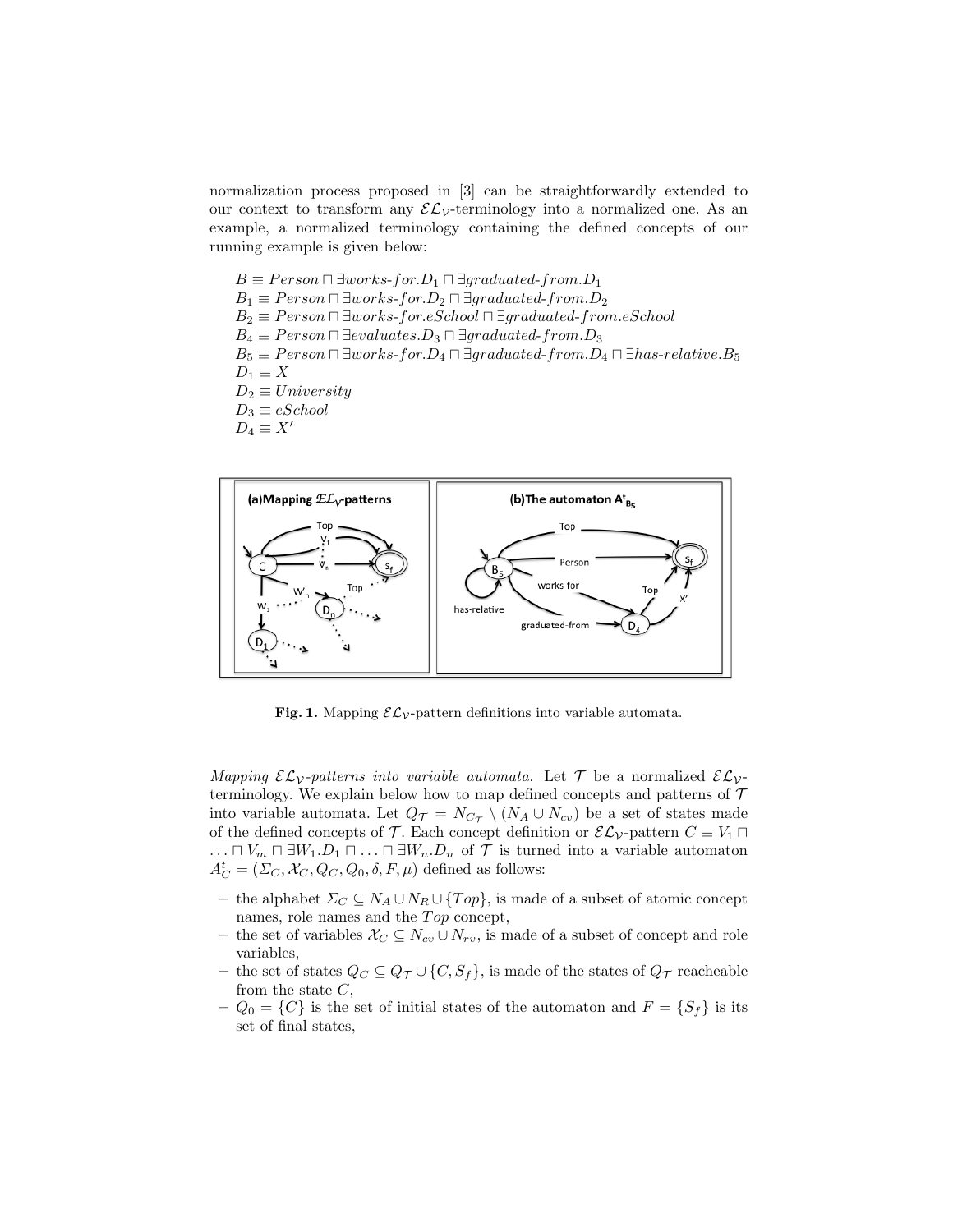normalization process proposed in [3] can be straightforwardly extended to our context to transform any  $\mathcal{EL}_{\mathcal{V}}$ -terminology into a normalized one. As an example, a normalized terminology containing the defined concepts of our running example is given below:

 $B \equiv Person \sqcap \exists works\text{-}for.D_1 \sqcap \exists graduated\text{-}from.D_1$  $B_1 \equiv Person \sqcap \exists works\text{-}for.D_2 \sqcap \exists graduate\text{-}from.D_2$  $B_2 \equiv Person \sqcap \exists works\text{-}for.eSchool \sqcap \exists graduate\text{-}from.eSchool$  $B_4 \equiv Person \sqcap \exists evaluates.D_3 \sqcap \exists graduated\text{-}from.D_3$  $B_5 \equiv Person \sqcap \exists works\text{-}for. D_4 \sqcap \exists graduate\text{-}from. D_4 \sqcap \exists has\text{-}relative. B_5$  $D_1 \equiv X$  $D_2 \equiv University$  $D_3 \equiv eSchool$  $D_4 \equiv X'$ 



Fig. 1. Mapping  $\mathcal{EL}_\mathcal{V}\text{-pattern definitions into variable automata.}$ 

Mapping  $\mathcal{EL}_\mathcal{V}\text{-patterns}$  into variable automata. Let  $\mathcal T$  be a normalized  $\mathcal{EL}_\mathcal{V}\text{-}$ terminology. We explain below how to map defined concepts and patterns of  $\mathcal T$ into variable automata. Let  $Q_{\mathcal{T}} = N_{C_{\mathcal{T}}} \setminus (N_A \cup N_{cv})$  be a set of states made of the defined concepts of T. Each concept definition or  $\mathcal{EL}_\mathcal{V}\text{-pattern }C \equiv V_1 \sqcap$  $\ldots \sqcap V_m \sqcap \exists W_1 \ldots \sqcap \exists W_n \ldots D_n$  of  $\mathcal T$  is turned into a variable automaton  $A_C^t = (\Sigma_C, \mathcal{X}_C, Q_C, Q_0, \delta, F, \mu)$  defined as follows:

- the alphabet  $\Sigma_C$  ⊆  $N_A$  ∪  $N_R$  ∪ { $Top$ }, is made of a subset of atomic concept names, role names and the  $Top$  concept,
- the set of variables  $\mathcal{X}_C$  ⊆  $N_{cv} \cup N_{rv}$ , is made of a subset of concept and role variables,
- the set of states  $Q_C ⊆ Q_{\mathcal{T}} ∪ \{C, S_f\}$ , is made of the states of  $Q_{\mathcal{T}}$  reacheable from the state  $C$ ,
- $Q_0 = \{C\}$  is the set of initial states of the automaton and  $F = \{S_f\}$  is its set of final states,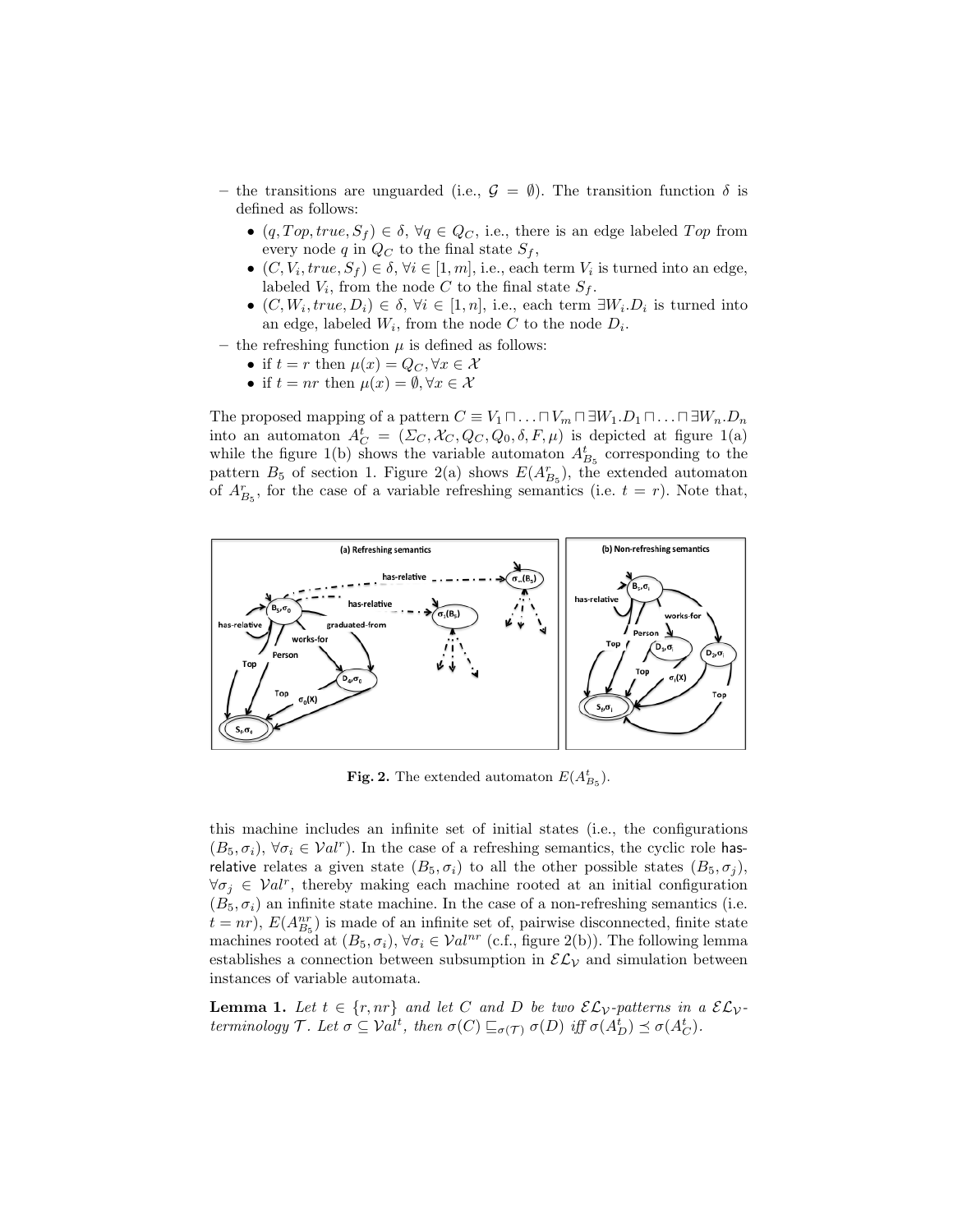- the transitions are unguarded (i.e.,  $\mathcal{G} = \emptyset$ ). The transition function  $\delta$  is defined as follows:
	- $(q, Top, true, S_f) \in \delta, \forall q \in Q_C$ , i.e., there is an edge labeled Top from every node q in  $Q_C$  to the final state  $S_f$ ,
	- $(C, V_i, true, S_f) \in \delta, \forall i \in [1, m], \text{ i.e., each term } V_i \text{ is turned into an edge,}$ labeled  $V_i$ , from the node C to the final state  $S_f$ .
	- $(C, W_i, true, D_i) \in \delta, \forall i \in [1, n], \text{ i.e., each term } \exists W_i D_i \text{ is turned into }$ an edge, labeled  $W_i$ , from the node C to the node  $D_i$ .
- the refreshing function  $\mu$  is defined as follows:
	- if  $t = r$  then  $\mu(x) = Q_C, \forall x \in \mathcal{X}$
	- if  $t = nr$  then  $\mu(x) = \emptyset, \forall x \in \mathcal{X}$

The proposed mapping of a pattern  $C \equiv V_1 \sqcap \ldots \sqcap V_m \sqcap \exists W_1 \ldots \sqcap \exists W_n \ldots \sqcap \exists W_n \ldots$ into an automaton  $A_C^t = (\Sigma_C, \mathcal{X}_C, Q_C, Q_0, \delta, F, \mu)$  is depicted at figure 1(a) while the figure 1(b) shows the variable automaton  $A_{B_5}^t$  corresponding to the pattern  $B_5$  of section 1. Figure 2(a) shows  $E(A_{B_5}^r)$ , the extended automaton of  $A_{B_5}^r$ , for the case of a variable refreshing semantics (i.e.  $t = r$ ). Note that,



**Fig. 2.** The extended automaton  $E(A_{B_5}^t)$ .

this machine includes an infinite set of initial states (i.e., the configurations  $(B_5, \sigma_i)$ ,  $\forall \sigma_i \in Val^r$ ). In the case of a refreshing semantics, the cyclic role hasrelative relates a given state  $(B_5, \sigma_i)$  to all the other possible states  $(B_5, \sigma_i)$ ,  $\forall \sigma_j \in Val^r$ , thereby making each machine rooted at an initial configuration  $(B_5, \sigma_i)$  an infinite state machine. In the case of a non-refreshing semantics (i.e.  $t = nr$ ,  $E(A_{B_5}^{nr})$  is made of an infinite set of, pairwise disconnected, finite state machines rooted at  $(B_5, \sigma_i)$ ,  $\forall \sigma_i \in Val^{nr}$  (c.f., figure 2(b)). The following lemma establishes a connection between subsumption in  $\mathcal{EL}_\mathcal{V}$  and simulation between instances of variable automata.

**Lemma 1.** Let  $t \in \{r, nr\}$  and let C and D be two  $\mathcal{EL}_\mathcal{V}$ -patterns in a  $\mathcal{EL}_\mathcal{V}$ terminology  $\mathcal{T}$ . Let  $\sigma \subseteq \mathcal{V}at^t$ , then  $\sigma(C) \sqsubseteq_{\sigma(\mathcal{T})} \sigma(D)$  iff  $\sigma(A_D^t) \preceq \sigma(A_C^t)$ .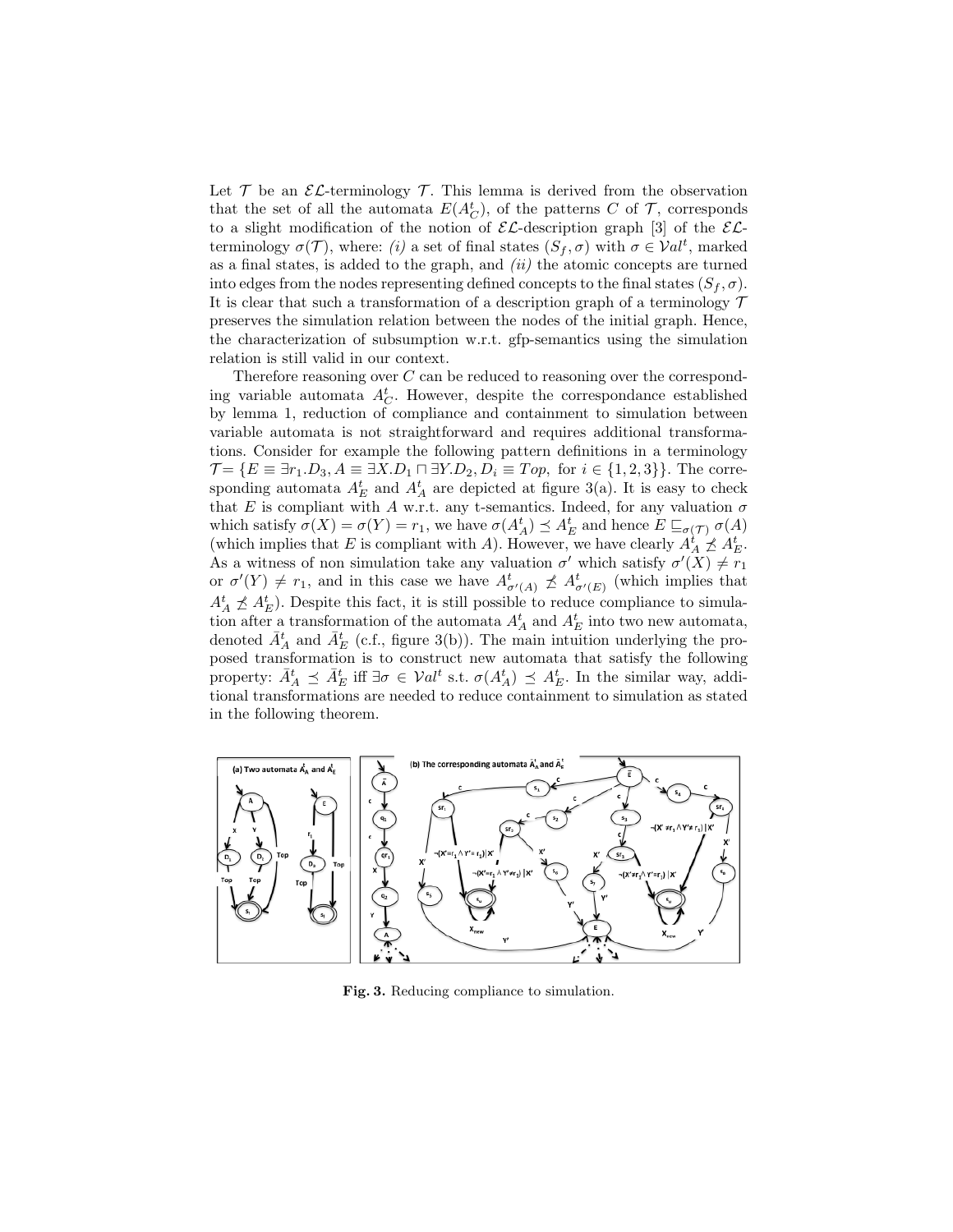Let  $\mathcal T$  be an  $\mathcal E\mathcal L$ -terminology  $\mathcal T$ . This lemma is derived from the observation that the set of all the automata  $E(A_C^t)$ , of the patterns C of T, corresponds to a slight modification of the notion of  $\mathcal{EL}$ -description graph [3] of the  $\mathcal{EL}$ terminology  $\sigma(\mathcal{T})$ , where: (i) a set of final states  $(S_f, \sigma)$  with  $\sigma \in \mathcal{V}al^t$ , marked as a final states, is added to the graph, and  $(ii)$  the atomic concepts are turned into edges from the nodes representing defined concepts to the final states  $(S_f, \sigma)$ . It is clear that such a transformation of a description graph of a terminology  $\mathcal T$ preserves the simulation relation between the nodes of the initial graph. Hence, the characterization of subsumption w.r.t. gfp-semantics using the simulation relation is still valid in our context.

Therefore reasoning over  $C$  can be reduced to reasoning over the corresponding variable automata  $A_C^t$ . However, despite the correspondance established by lemma 1, reduction of compliance and containment to simulation between variable automata is not straightforward and requires additional transformations. Consider for example the following pattern definitions in a terminology  $\mathcal{T} = \{E \equiv \exists r_1 \ldotp D_3, A \equiv \exists X \ldotp D_1 \sqcap \exists Y \ldotp D_2, D_i \equiv Top, \text{ for } i \in \{1, 2, 3\}\}.$  The corresponding automata  $A_E^t$  and  $A_A^t$  are depicted at figure 3(a). It is easy to check that E is compliant with A w.r.t. any t-semantics. Indeed, for any valuation  $\sigma$ which satisfy  $\sigma(X) = \sigma(Y) = r_1$ , we have  $\sigma(A_A^t) \preceq A_E^t$  and hence  $E \sqsubseteq_{\sigma(\mathcal{T})} \sigma(A)$ (which implies that E is compliant with A). However, we have clearly  $A_A^{\dagger} \nleq A_E^{\dagger}$ . As a witness of non simulation take any valuation  $\sigma'$  which satisfy  $\sigma'(X) \neq r_1$ or  $\sigma'(Y) \neq r_1$ , and in this case we have  $A^t_{\sigma'(A)} \not\preceq A^t_{\sigma'(E)}$  (which implies that  $A_A^t \npreceq A_E^t$ ). Despite this fact, it is still possible to reduce compliance to simulation after a transformation of the automata  $A_A^t$  and  $A_E^t$  into two new automata, denoted  $\bar{A}^t_A$  and  $\bar{A}^t_E$  (c.f., figure 3(b)). The main intuition underlying the proposed transformation is to construct new automata that satisfy the following property:  $\bar{A}^t_A \preceq \bar{A}^t_E$  iff  $\exists \sigma \in \mathcal{V}al^t$  s.t.  $\sigma(A^t_A) \preceq A^t_E$ . In the similar way, additional transformations are needed to reduce containment to simulation as stated in the following theorem.



Fig. 3. Reducing compliance to simulation.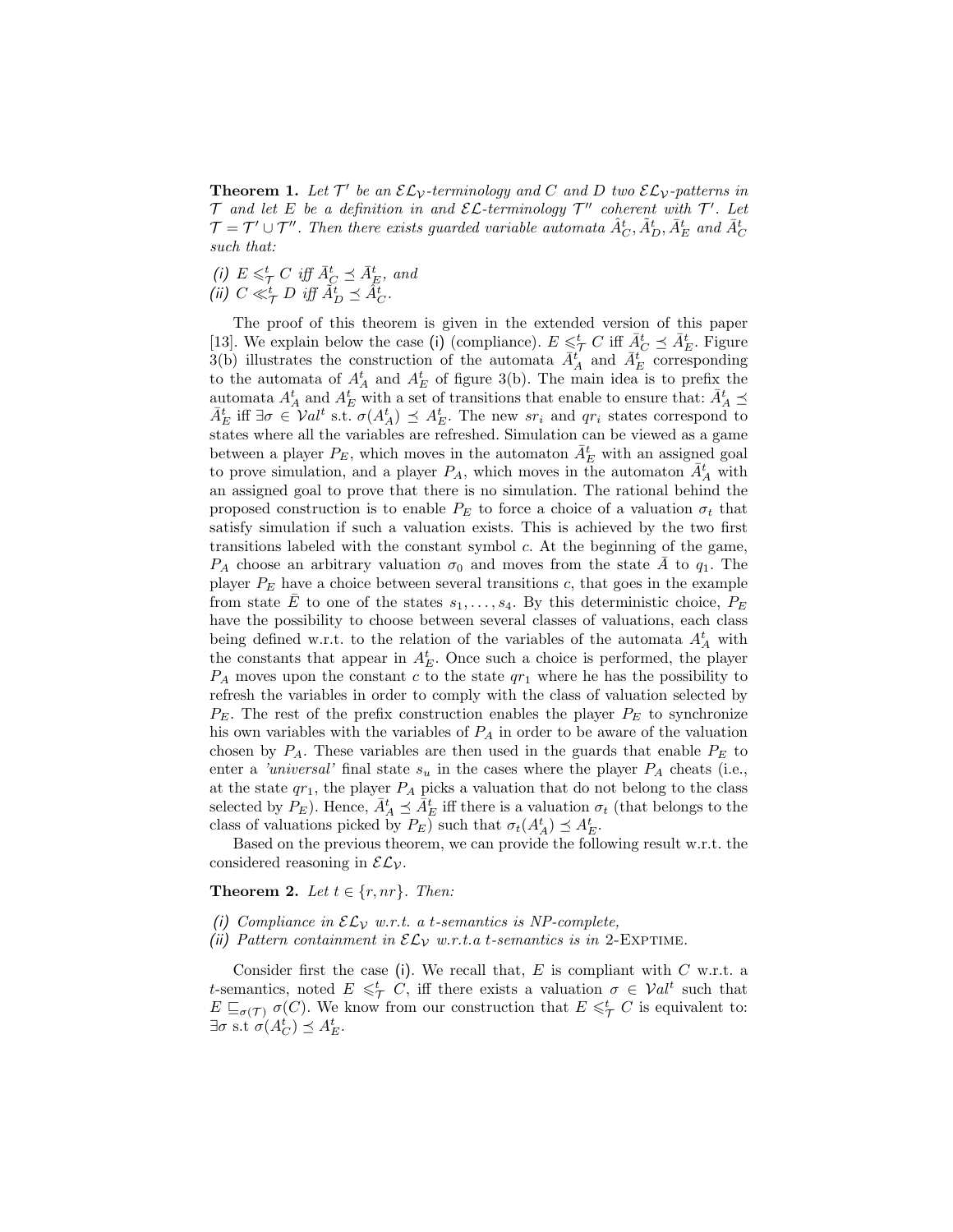**Theorem 1.** Let  $\mathcal{T}'$  be an  $\mathcal{EL}_{\mathcal{V}}$ -terminology and C and D two  $\mathcal{EL}_{\mathcal{V}}$ -patterns in  $\mathcal T$  and let E be a definition in and  $\mathcal E \mathcal L$ -terminology  $\mathcal T''$  coherent with  $\mathcal T'$ . Let  $\mathcal{T}=\mathcal{T}'\cup\mathcal{T}''$ . Then there exists guarded variable automata  $\hat{A}^t_C,\tilde{A}^t_D,\bar{A}^t_E$  and  $\bar{A}^t_C$ such that:

(i)  $E \leq^t_\mathcal{T} C$  iff  $\bar{A}_C^t \preceq \bar{A}_E^t$ , and (ii)  $C \ll_{\mathcal{T}}^t D$  iff  $\tilde{A}_{D}^t \preceq \tilde{A}_{C}^t$ .

The proof of this theorem is given in the extended version of this paper [13]. We explain below the case (i) (compliance).  $E \leq^t_{\mathcal{T}} C$  iff  $\bar{A}_{C}^t \preceq \bar{A}_{E}^t$ . Figure 3(b) illustrates the construction of the automata  $\bar{A}^{t'}_A$  and  $\bar{A}^{t'}_E$  corresponding to the automata of  $A_A^t$  and  $A_E^t$  of figure 3(b). The main idea is to prefix the automata  $A_A^t$  and  $A_E^t$  with a set of transitions that enable to ensure that:  $\bar{A}_A^t \preceq$  $\bar{A}_E^t$  iff  $\exists \sigma \in \mathcal{V}al^t$  s.t.  $\sigma(A_A^t) \preceq A_E^t$ . The new  $sr_i$  and  $qr_i$  states correspond to states where all the variables are refreshed. Simulation can be viewed as a game between a player  $P_E$ , which moves in the automaton  $\bar{A}_E^t$  with an assigned goal to prove simulation, and a player  $P_A$ , which moves in the automaton  $\bar{A}_A^t$  with an assigned goal to prove that there is no simulation. The rational behind the proposed construction is to enable  $P_E$  to force a choice of a valuation  $\sigma_t$  that satisfy simulation if such a valuation exists. This is achieved by the two first transitions labeled with the constant symbol c. At the beginning of the game,  $P_A$  choose an arbitrary valuation  $\sigma_0$  and moves from the state  $\overline{A}$  to  $q_1$ . The player  $P_E$  have a choice between several transitions c, that goes in the example from state E to one of the states  $s_1, \ldots, s_4$ . By this deterministic choice,  $P_E$ have the possibility to choose between several classes of valuations, each class being defined w.r.t. to the relation of the variables of the automata  $A_A^t$  with the constants that appear in  $A_E^t$ . Once such a choice is performed, the player  $P_A$  moves upon the constant c to the state  $q\overline{r}_1$  where he has the possibility to refresh the variables in order to comply with the class of valuation selected by  $P_E$ . The rest of the prefix construction enables the player  $P_E$  to synchronize his own variables with the variables of  $P_A$  in order to be aware of the valuation chosen by  $P_A$ . These variables are then used in the guards that enable  $P_E$  to enter a 'universal' final state  $s_u$  in the cases where the player  $P_A$  cheats (i.e., at the state  $qr_1$ , the player  $P_A$  picks a valuation that do not belong to the class selected by  $P_E$ ). Hence,  $\bar{A}^t_A \preceq \bar{A}^t_E$  iff there is a valuation  $\sigma_t$  (that belongs to the class of valuations picked by  $P_E$ ) such that  $\sigma_t(A_A^t) \preceq A_E^t$ .

Based on the previous theorem, we can provide the following result w.r.t. the considered reasoning in  $\mathcal{EL}_\mathcal{V}$ .

**Theorem 2.** Let  $t \in \{r, nr\}$ . Then:

- (i) Compliance in  $\mathcal{EL}_\mathcal{V}$  w.r.t. a t-semantics is NP-complete,
- (ii) Pattern containment in  $\mathcal{EL}_\mathcal{V}$  w.r.t.a t-semantics is in 2-EXPTIME.

Consider first the case (i). We recall that,  $E$  is compliant with  $C$  w.r.t. a t-semantics, noted  $E \leq \tau$  C, iff there exists a valuation  $\sigma \in \mathcal{V}at^t$  such that  $E \sqsubseteq_{\sigma(\mathcal{T})} \sigma(C)$ . We know from our construction that  $E \leq \tau C$  is equivalent to:  $\exists \sigma \text{ s.t } \sigma(A_C^t) \preceq A_E^t.$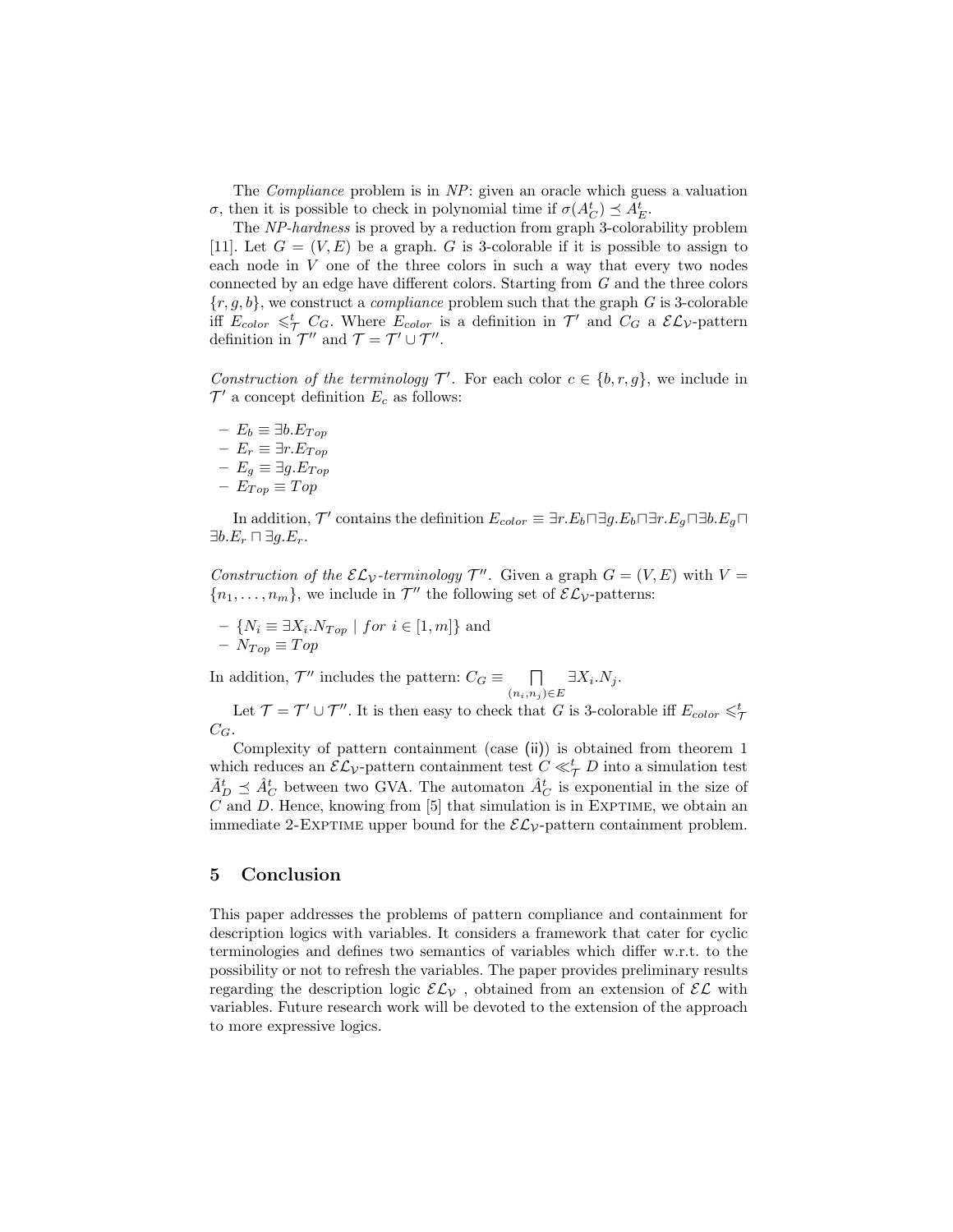The Compliance problem is in NP: given an oracle which guess a valuation  $\sigma$ , then it is possible to check in polynomial time if  $\sigma(A_C^t) \preceq A_E^t$ .

The NP-hardness is proved by a reduction from graph 3-colorability problem [11]. Let  $G = (V, E)$  be a graph. G is 3-colorable if it is possible to assign to each node in  $V$  one of the three colors in such a way that every two nodes connected by an edge have different colors. Starting from G and the three colors  ${r, g, b}$ , we construct a *compliance* problem such that the graph G is 3-colorable iff  $E_{color} \leq^t_{\mathcal{T}} C_G$ . Where  $E_{color}$  is a definition in  $\mathcal{T}'$  and  $C_G$  a  $\mathcal{EL}_{\mathcal{V}}$ -pattern definition in  $\mathcal{T}''$  and  $\mathcal{T} = \mathcal{T}' \cup \mathcal{T}''$ .

Construction of the terminology  $\mathcal{T}'$ . For each color  $c \in \{b, r, g\}$ , we include in  $\mathcal{T}'$  a concept definition  $E_c$  as follows:

 $- E_b \equiv \exists b.E_{Top}$  $− E_r ≡ ∃r.E<sub>Top</sub>$ – E<sup>g</sup> ≡ ∃g.ET op  $− E_{Top} \equiv Top$ 

In addition,  $\mathcal{T}'$  contains the definition  $E_{color} \equiv \exists r.E_b \sqcap \exists g.E_b \sqcap \exists r.E_g \sqcap \exists b.E_g \sqcap$  $\exists b.E_r \sqcap \exists g.E_r.$ 

Construction of the  $\mathcal{EL}_\mathcal{V}$ -terminology  $\mathcal{T}''$ . Given a graph  $G = (V, E)$  with  $V =$  ${n_1, \ldots, n_m}$ , we include in  $\mathcal{T}''$  the following set of  $\mathcal{EL}_\mathcal{V}$ -patterns:

- 
$$
\{N_i \equiv \exists X_i.N_{Top} \mid for \ i \in [1, m]\}
$$
 and  
-  $N_{Top} \equiv Top$ 

In addition,  $\mathcal{T}''$  includes the pattern:  $C_G \equiv \Box$  $(n_i, n_j) \in E$  $\exists X_i.N_j.$ 

Let  $\mathcal{T} = \mathcal{T}' \cup \mathcal{T}''$ . It is then easy to check that G is 3-colorable iff  $E_{color} \leq \frac{t}{\mathcal{T}}$  $C_G$ .

Complexity of pattern containment (case (ii)) is obtained from theorem 1 which reduces an  $\mathcal{EL}_{\mathcal{V}}$ -pattern containment test  $C \ll_{\mathcal{T}}^t D$  into a simulation test  $\tilde{A}_{D}^{t} \preceq \hat{A}_{C}^{t}$  between two GVA. The automaton  $\hat{A}_{C}^{t}$  is exponential in the size of  $C$  and  $D$ . Hence, knowing from [5] that simulation is in EXPTIME, we obtain an immediate 2-EXPTIME upper bound for the  $\mathcal{EL}_\mathcal{V}$ -pattern containment problem.

#### 5 Conclusion

This paper addresses the problems of pattern compliance and containment for description logics with variables. It considers a framework that cater for cyclic terminologies and defines two semantics of variables which differ w.r.t. to the possibility or not to refresh the variables. The paper provides preliminary results regarding the description logic  $\mathcal{EL}_\mathcal{V}$ , obtained from an extension of  $\mathcal{EL}$  with variables. Future research work will be devoted to the extension of the approach to more expressive logics.